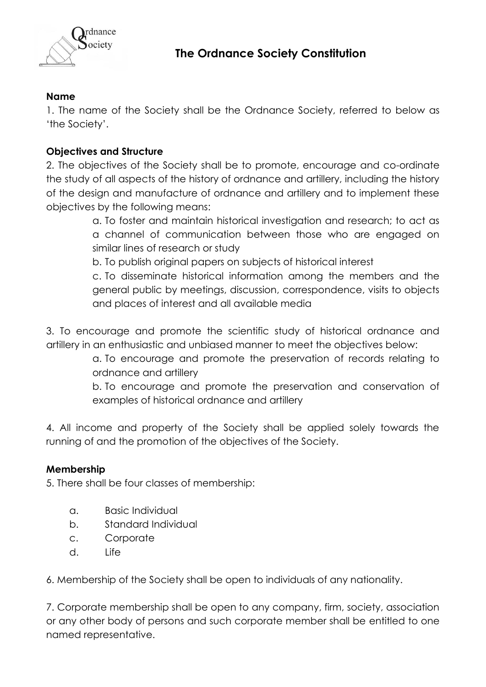

## **Name**

1. The name of the Society shall be the Ordnance Society, referred to below as 'the Society'.

# **Objectives and Structure**

2. The objectives of the Society shall be to promote, encourage and co-ordinate the study of all aspects of the history of ordnance and artillery, including the history of the design and manufacture of ordnance and artillery and to implement these objectives by the following means:

> a. To foster and maintain historical investigation and research; to act as a channel of communication between those who are engaged on similar lines of research or study

b. To publish original papers on subjects of historical interest

c. To disseminate historical information among the members and the general public by meetings, discussion, correspondence, visits to objects and places of interest and all available media

3. To encourage and promote the scientific study of historical ordnance and artillery in an enthusiastic and unbiased manner to meet the objectives below:

> a. To encourage and promote the preservation of records relating to ordnance and artillery

> b. To encourage and promote the preservation and conservation of examples of historical ordnance and artillery

4. All income and property of the Society shall be applied solely towards the running of and the promotion of the objectives of the Society.

## **Membership**

5. There shall be four classes of membership:

- a. Basic Individual
- b. Standard Individual
- c. Corporate
- d. Life

6. Membership of the Society shall be open to individuals of any nationality.

7. Corporate membership shall be open to any company, firm, society, association or any other body of persons and such corporate member shall be entitled to one named representative.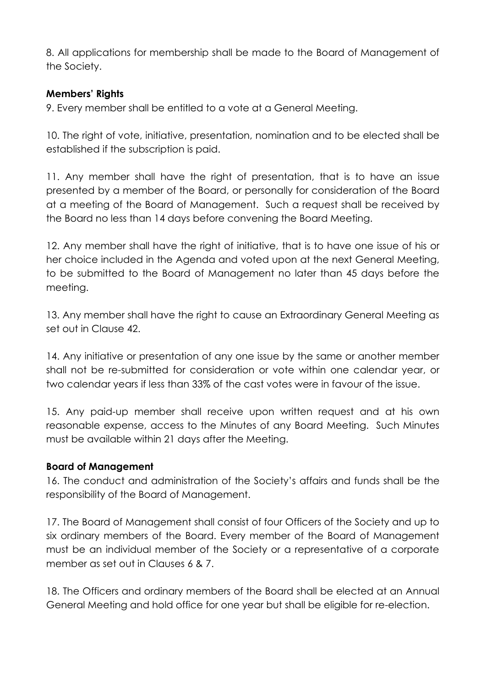8. All applications for membership shall be made to the Board of Management of the Society.

## **Members' Rights**

9. Every member shall be entitled to a vote at a General Meeting.

10. The right of vote, initiative, presentation, nomination and to be elected shall be established if the subscription is paid.

11. Any member shall have the right of presentation, that is to have an issue presented by a member of the Board, or personally for consideration of the Board at a meeting of the Board of Management. Such a request shall be received by the Board no less than 14 days before convening the Board Meeting.

12. Any member shall have the right of initiative, that is to have one issue of his or her choice included in the Agenda and voted upon at the next General Meeting, to be submitted to the Board of Management no later than 45 days before the meeting.

13. Any member shall have the right to cause an Extraordinary General Meeting as set out in Clause 42.

14. Any initiative or presentation of any one issue by the same or another member shall not be re-submitted for consideration or vote within one calendar year, or two calendar years if less than 33% of the cast votes were in favour of the issue.

15. Any paid-up member shall receive upon written request and at his own reasonable expense, access to the Minutes of any Board Meeting. Such Minutes must be available within 21 days after the Meeting.

#### **Board of Management**

16. The conduct and administration of the Society's affairs and funds shall be the responsibility of the Board of Management.

17. The Board of Management shall consist of four Officers of the Society and up to six ordinary members of the Board. Every member of the Board of Management must be an individual member of the Society or a representative of a corporate member as set out in Clauses 6 & 7.

18. The Officers and ordinary members of the Board shall be elected at an Annual General Meeting and hold office for one year but shall be eligible for re-election.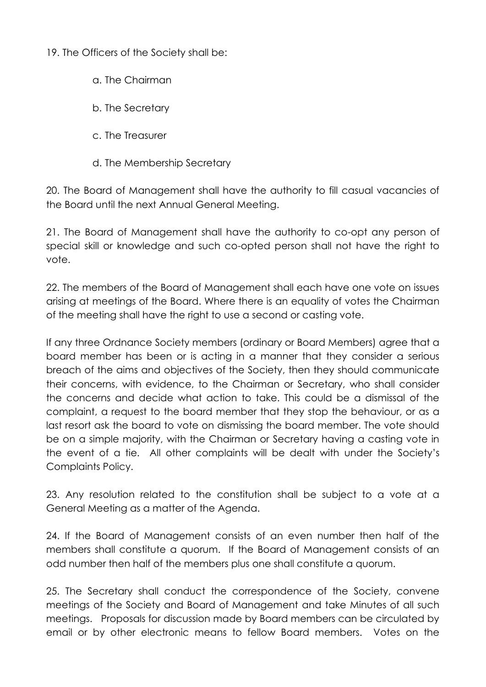19. The Officers of the Society shall be:

- a. The Chairman
- b. The Secretary
- c. The Treasurer
- d. The Membership Secretary

20. The Board of Management shall have the authority to fill casual vacancies of the Board until the next Annual General Meeting.

21. The Board of Management shall have the authority to co-opt any person of special skill or knowledge and such co-opted person shall not have the right to vote.

22. The members of the Board of Management shall each have one vote on issues arising at meetings of the Board. Where there is an equality of votes the Chairman of the meeting shall have the right to use a second or casting vote.

If any three Ordnance Society members (ordinary or Board Members) agree that a board member has been or is acting in a manner that they consider a serious breach of the aims and objectives of the Society, then they should communicate their concerns, with evidence, to the Chairman or Secretary, who shall consider the concerns and decide what action to take. This could be a dismissal of the complaint, a request to the board member that they stop the behaviour, or as a last resort ask the board to vote on dismissing the board member. The vote should be on a simple majority, with the Chairman or Secretary having a casting vote in the event of a tie. All other complaints will be dealt with under the Society's Complaints Policy.

23. Any resolution related to the constitution shall be subject to a vote at a General Meeting as a matter of the Agenda.

24. If the Board of Management consists of an even number then half of the members shall constitute a quorum. If the Board of Management consists of an odd number then half of the members plus one shall constitute a quorum.

25. The Secretary shall conduct the correspondence of the Society, convene meetings of the Society and Board of Management and take Minutes of all such meetings. Proposals for discussion made by Board members can be circulated by email or by other electronic means to fellow Board members. Votes on the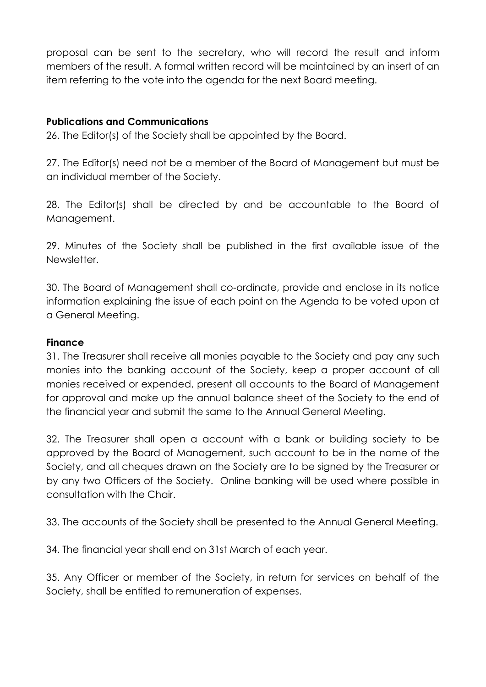proposal can be sent to the secretary, who will record the result and inform members of the result. A formal written record will be maintained by an insert of an item referring to the vote into the agenda for the next Board meeting.

### **Publications and Communications**

26. The Editor(s) of the Society shall be appointed by the Board.

27. The Editor(s) need not be a member of the Board of Management but must be an individual member of the Society.

28. The Editor(s) shall be directed by and be accountable to the Board of Management.

29. Minutes of the Society shall be published in the first available issue of the Newsletter.

30. The Board of Management shall co-ordinate, provide and enclose in its notice information explaining the issue of each point on the Agenda to be voted upon at a General Meeting.

#### **Finance**

31. The Treasurer shall receive all monies payable to the Society and pay any such monies into the banking account of the Society, keep a proper account of all monies received or expended, present all accounts to the Board of Management for approval and make up the annual balance sheet of the Society to the end of the financial year and submit the same to the Annual General Meeting.

32. The Treasurer shall open a account with a bank or building society to be approved by the Board of Management, such account to be in the name of the Society, and all cheques drawn on the Society are to be signed by the Treasurer or by any two Officers of the Society. Online banking will be used where possible in consultation with the Chair.

33. The accounts of the Society shall be presented to the Annual General Meeting.

34. The financial year shall end on 31st March of each year.

35. Any Officer or member of the Society, in return for services on behalf of the Society, shall be entitled to remuneration of expenses.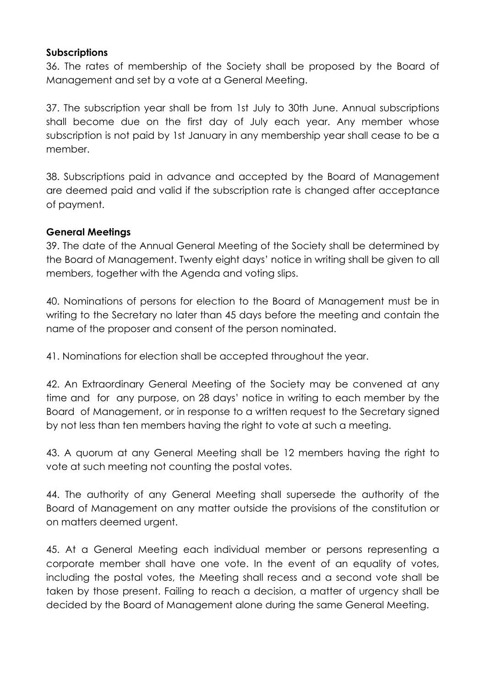#### **Subscriptions**

36. The rates of membership of the Society shall be proposed by the Board of Management and set by a vote at a General Meeting.

37. The subscription year shall be from 1st July to 30th June. Annual subscriptions shall become due on the first day of July each year. Any member whose subscription is not paid by 1st January in any membership year shall cease to be a member.

38. Subscriptions paid in advance and accepted by the Board of Management are deemed paid and valid if the subscription rate is changed after acceptance of payment.

#### **General Meetings**

39. The date of the Annual General Meeting of the Society shall be determined by the Board of Management. Twenty eight days' notice in writing shall be given to all members, together with the Agenda and voting slips.

40. Nominations of persons for election to the Board of Management must be in writing to the Secretary no later than 45 days before the meeting and contain the name of the proposer and consent of the person nominated.

41. Nominations for election shall be accepted throughout the year.

42. An Extraordinary General Meeting of the Society may be convened at any time and for any purpose, on 28 days' notice in writing to each member by the Board of Management, or in response to a written request to the Secretary signed by not less than ten members having the right to vote at such a meeting.

43. A quorum at any General Meeting shall be 12 members having the right to vote at such meeting not counting the postal votes.

44. The authority of any General Meeting shall supersede the authority of the Board of Management on any matter outside the provisions of the constitution or on matters deemed urgent.

45. At a General Meeting each individual member or persons representing a corporate member shall have one vote. In the event of an equality of votes, including the postal votes, the Meeting shall recess and a second vote shall be taken by those present. Failing to reach a decision, a matter of urgency shall be decided by the Board of Management alone during the same General Meeting.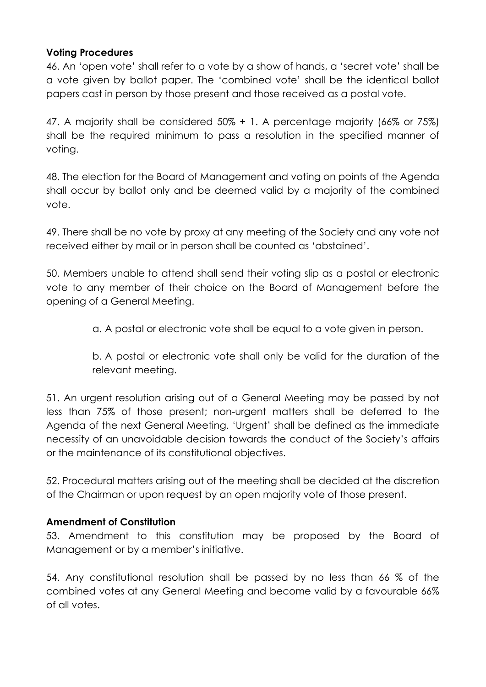#### **Voting Procedures**

46. An 'open vote' shall refer to a vote by a show of hands, a 'secret vote' shall be a vote given by ballot paper. The 'combined vote' shall be the identical ballot papers cast in person by those present and those received as a postal vote.

47. A majority shall be considered 50% + 1. A percentage majority (66% or 75%) shall be the required minimum to pass a resolution in the specified manner of voting.

48. The election for the Board of Management and voting on points of the Agenda shall occur by ballot only and be deemed valid by a majority of the combined vote.

49. There shall be no vote by proxy at any meeting of the Society and any vote not received either by mail or in person shall be counted as 'abstained'.

50. Members unable to attend shall send their voting slip as a postal or electronic vote to any member of their choice on the Board of Management before the opening of a General Meeting.

a. A postal or electronic vote shall be equal to a vote given in person.

b. A postal or electronic vote shall only be valid for the duration of the relevant meeting.

51. An urgent resolution arising out of a General Meeting may be passed by not less than 75% of those present; non-urgent matters shall be deferred to the Agenda of the next General Meeting. 'Urgent' shall be defined as the immediate necessity of an unavoidable decision towards the conduct of the Society's affairs or the maintenance of its constitutional objectives.

52. Procedural matters arising out of the meeting shall be decided at the discretion of the Chairman or upon request by an open majority vote of those present.

#### **Amendment of Constitution**

53. Amendment to this constitution may be proposed by the Board of Management or by a member's initiative.

54. Any constitutional resolution shall be passed by no less than 66 % of the combined votes at any General Meeting and become valid by a favourable 66% of all votes.